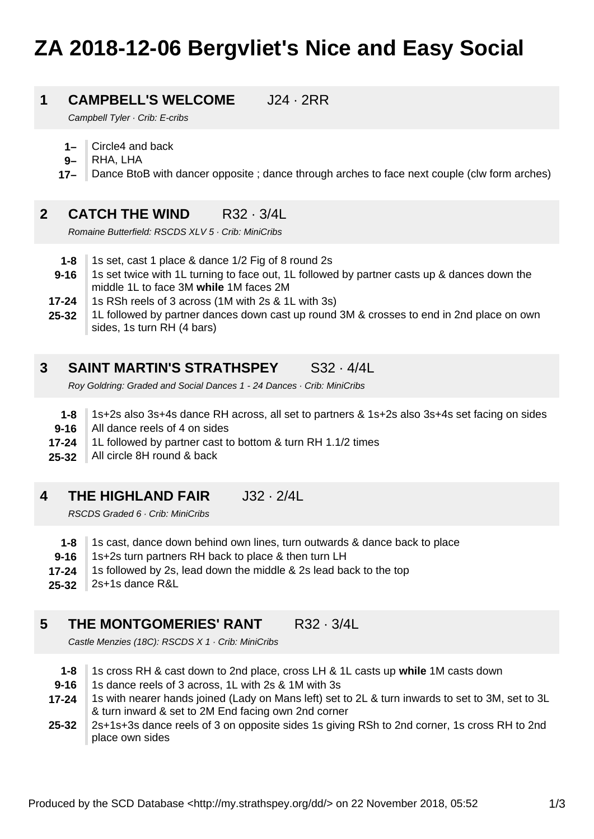# **ZA 2018-12-06 Bergvliet's Nice and Easy Social**

### **1 CAMPBELL'S WELCOME** J24 · 2RR

Campbell Tyler · Crib: E-cribs

- **1–** Circle4 and back
- **9–** RHA, LHA
- **17–** Dance BtoB with dancer opposite ; dance through arches to face next couple (clw form arches)

### **2 CATCH THE WIND R32 · 3/4L**

Romaine Butterfield: RSCDS XLV 5 · Crib: MiniCribs

- **1-8** 1s set, cast 1 place & dance 1/2 Fig of 8 round 2s
- **9-16** 1s set twice with 1L turning to face out, 1L followed by partner casts up & dances down the middle 1L to face 3M **while** 1M faces 2M
- **17-24** 1s RSh reels of 3 across (1M with 2s & 1L with 3s)
- **25-32** 1L followed by partner dances down cast up round 3M & crosses to end in 2nd place on own sides, 1s turn RH (4 bars)

### **3 SAINT MARTIN'S STRATHSPEY** S32 · 4/4L

Roy Goldring: Graded and Social Dances 1 - 24 Dances · Crib: MiniCribs

- **1-8** 1s+2s also 3s+4s dance RH across, all set to partners & 1s+2s also 3s+4s set facing on sides
- **9-16** All dance reels of 4 on sides
- **17-24** 1L followed by partner cast to bottom & turn RH 1.1/2 times
- **25-32** All circle 8H round & back

### **4 THE HIGHLAND FAIR** J32 · 2/4L

RSCDS Graded 6 · Crib: MiniCribs

- **1-8** 1s cast, dance down behind own lines, turn outwards & dance back to place
- **9-16** 1s+2s turn partners RH back to place & then turn LH
- **17-24** 1s followed by 2s, lead down the middle & 2s lead back to the top
- **25-32** 2s+1s dance R&L

### **5 THE MONTGOMERIES' RANT R32 · 3/4L**

Castle Menzies (18C): RSCDS X 1 · Crib: MiniCribs

- **1-8** 1s cross RH & cast down to 2nd place, cross LH & 1L casts up **while** 1M casts down
- **9-16** 1s dance reels of 3 across, 1L with 2s & 1M with 3s
- **17-24** 1s with nearer hands joined (Lady on Mans left) set to 2L & turn inwards to set to 3M, set to 3L & turn inward & set to 2M End facing own 2nd corner
- **25-32** 2s+1s+3s dance reels of 3 on opposite sides 1s giving RSh to 2nd corner, 1s cross RH to 2nd place own sides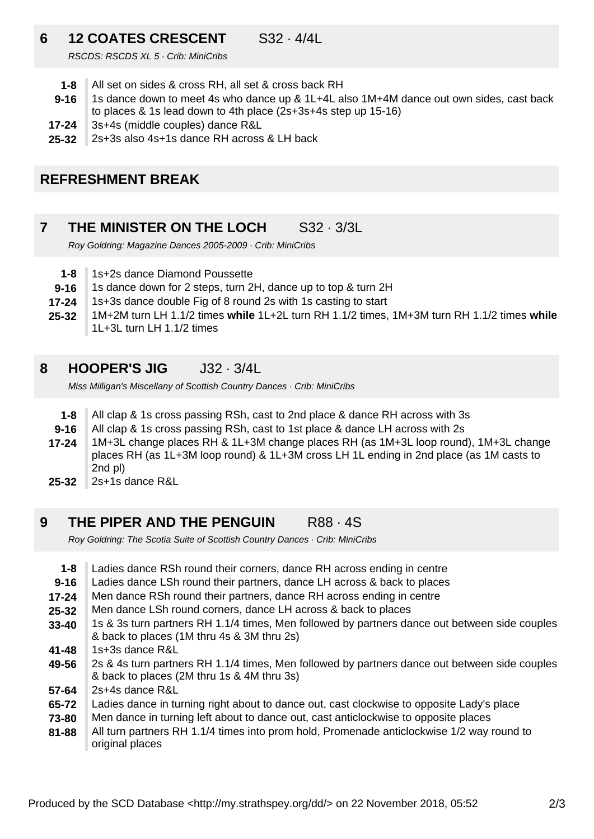### **6 12 COATES CRESCENT** S32 · 4/4L

RSCDS: RSCDS XL 5 · Crib: MiniCribs

- **1-8** All set on sides & cross RH, all set & cross back RH
- **9-16** 1s dance down to meet 4s who dance up & 1L+4L also 1M+4M dance out own sides, cast back to places & 1s lead down to 4th place (2s+3s+4s step up 15-16)
- **17-24** 3s+4s (middle couples) dance R&L
- **25-32** 2s+3s also 4s+1s dance RH across & LH back

## **REFRESHMENT BREAK**

### **7 THE MINISTER ON THE LOCH S32 · 3/3L**

Roy Goldring: Magazine Dances 2005-2009 · Crib: MiniCribs

- **1-8** 1s+2s dance Diamond Poussette
- **9-16** 1s dance down for 2 steps, turn 2H, dance up to top & turn 2H
- **17-24** 1s+3s dance double Fig of 8 round 2s with 1s casting to start
- **25-32** 1M+2M turn LH 1.1/2 times **while** 1L+2L turn RH 1.1/2 times, 1M+3M turn RH 1.1/2 times **while** 1L+3L turn LH 1.1/2 times

### **8 HOOPER'S JIG** J32 · 3/4L

Miss Milligan's Miscellany of Scottish Country Dances · Crib: MiniCribs

- **1-8** All clap & 1s cross passing RSh, cast to 2nd place & dance RH across with 3s
- **9-16** All clap & 1s cross passing RSh, cast to 1st place & dance LH across with 2s
- **17-24** 1M+3L change places RH & 1L+3M change places RH (as 1M+3L loop round), 1M+3L change places RH (as 1L+3M loop round) & 1L+3M cross LH 1L ending in 2nd place (as 1M casts to 2nd pl)
- **25-32** 2s+1s dance R&L

### **9 THE PIPER AND THE PENGUIN R88 · 4S**

Roy Goldring: The Scotia Suite of Scottish Country Dances · Crib: MiniCribs

- **1-8** Ladies dance RSh round their corners, dance RH across ending in centre
- **9-16** Ladies dance LSh round their partners, dance LH across & back to places
- **17-24** Men dance RSh round their partners, dance RH across ending in centre
- **25-32** Men dance LSh round corners, dance LH across & back to places
- **33-40** 1s & 3s turn partners RH 1.1/4 times, Men followed by partners dance out between side couples & back to places (1M thru 4s & 3M thru 2s)
- **41-48** 1s+3s dance R&L
- **49-56** 2s & 4s turn partners RH 1.1/4 times, Men followed by partners dance out between side couples & back to places (2M thru 1s & 4M thru 3s)
- **57-64** 2s+4s dance R&L
- **65-72** Ladies dance in turning right about to dance out, cast clockwise to opposite Lady's place
- **73-80** Men dance in turning left about to dance out, cast anticlockwise to opposite places
- **81-88** All turn partners RH 1.1/4 times into prom hold, Promenade anticlockwise 1/2 way round to original places